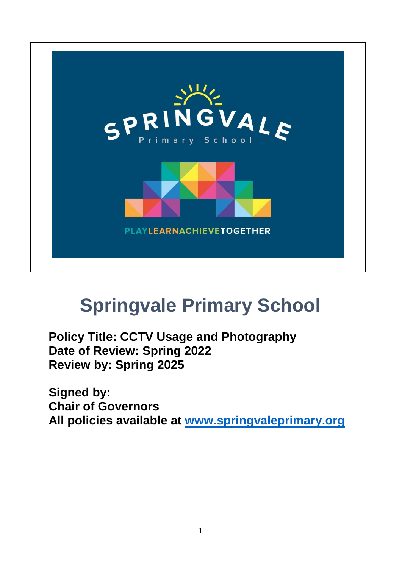

# **Springvale Primary School**

**Policy Title: CCTV Usage and Photography Date of Review: Spring 2022 Review by: Spring 2025**

**Signed by: Chair of Governors All policies available at [www.springvaleprimary.org](http://www.springvaleprimary.org/)**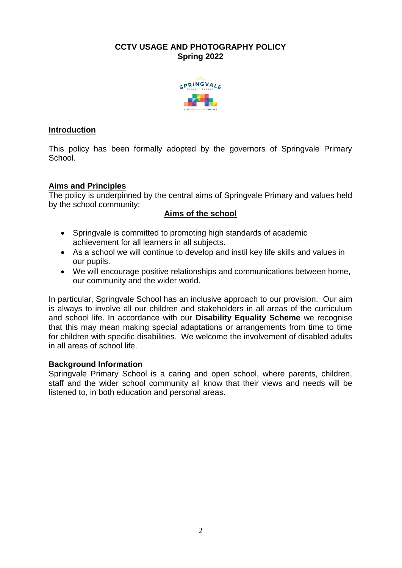# **CCTV USAGE AND PHOTOGRAPHY POLICY Spring 2022**



# **Introduction**

This policy has been formally adopted by the governors of Springvale Primary School.

# **Aims and Principles**

The policy is underpinned by the central aims of Springvale Primary and values held by the school community:

# **Aims of the school**

- Springvale is committed to promoting high standards of academic achievement for all learners in all subjects.
- As a school we will continue to develop and instil key life skills and values in our pupils.
- We will encourage positive relationships and communications between home, our community and the wider world.

In particular, Springvale School has an inclusive approach to our provision. Our aim is always to involve all our children and stakeholders in all areas of the curriculum and school life. In accordance with our **Disability Equality Scheme** we recognise that this may mean making special adaptations or arrangements from time to time for children with specific disabilities. We welcome the involvement of disabled adults in all areas of school life.

## **Background Information**

Springvale Primary School is a caring and open school, where parents, children, staff and the wider school community all know that their views and needs will be listened to, in both education and personal areas.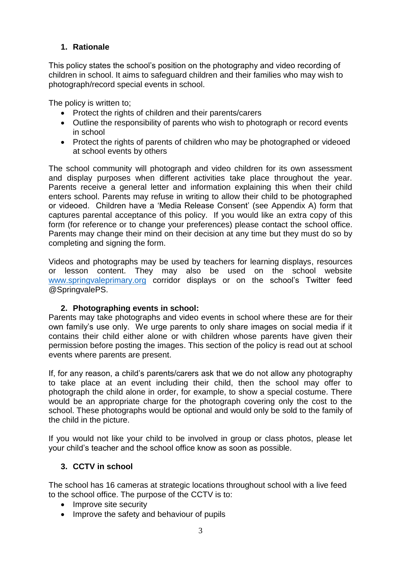# **1. Rationale**

This policy states the school's position on the photography and video recording of children in school. It aims to safeguard children and their families who may wish to photograph/record special events in school.

The policy is written to;

- Protect the rights of children and their parents/carers
- Outline the responsibility of parents who wish to photograph or record events in school
- Protect the rights of parents of children who may be photographed or videoed at school events by others

The school community will photograph and video children for its own assessment and display purposes when different activities take place throughout the year. Parents receive a general letter and information explaining this when their child enters school. Parents may refuse in writing to allow their child to be photographed or videoed. Children have a 'Media Release Consent' (see Appendix A) form that captures parental acceptance of this policy. If you would like an extra copy of this form (for reference or to change your preferences) please contact the school office. Parents may change their mind on their decision at any time but they must do so by completing and signing the form.

Videos and photographs may be used by teachers for learning displays, resources or lesson content. They may also be used on the school website [www.springvaleprimary.org](http://www.springvaleprimary.org/) corridor displays or on the school's Twitter feed @SpringvalePS.

# **2. Photographing events in school:**

Parents may take photographs and video events in school where these are for their own family's use only. We urge parents to only share images on social media if it contains their child either alone or with children whose parents have given their permission before posting the images. This section of the policy is read out at school events where parents are present.

If, for any reason, a child's parents/carers ask that we do not allow any photography to take place at an event including their child, then the school may offer to photograph the child alone in order, for example, to show a special costume. There would be an appropriate charge for the photograph covering only the cost to the school. These photographs would be optional and would only be sold to the family of the child in the picture.

If you would not like your child to be involved in group or class photos, please let your child's teacher and the school office know as soon as possible.

# **3. CCTV in school**

The school has 16 cameras at strategic locations throughout school with a live feed to the school office. The purpose of the CCTV is to:

- Improve site security
- Improve the safety and behaviour of pupils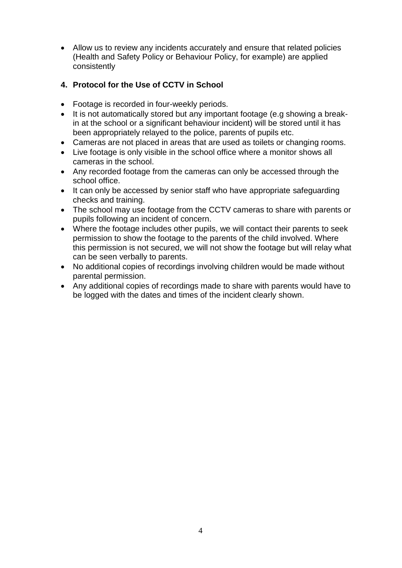Allow us to review any incidents accurately and ensure that related policies (Health and Safety Policy or Behaviour Policy, for example) are applied consistently

# **4. Protocol for the Use of CCTV in School**

- Footage is recorded in four-weekly periods.
- It is not automatically stored but any important footage (e.g showing a breakin at the school or a significant behaviour incident) will be stored until it has been appropriately relayed to the police, parents of pupils etc.
- Cameras are not placed in areas that are used as toilets or changing rooms.
- Live footage is only visible in the school office where a monitor shows all cameras in the school.
- Any recorded footage from the cameras can only be accessed through the school office.
- It can only be accessed by senior staff who have appropriate safeguarding checks and training.
- The school may use footage from the CCTV cameras to share with parents or pupils following an incident of concern.
- Where the footage includes other pupils, we will contact their parents to seek permission to show the footage to the parents of the child involved. Where this permission is not secured, we will not show the footage but will relay what can be seen verbally to parents.
- No additional copies of recordings involving children would be made without parental permission.
- Any additional copies of recordings made to share with parents would have to be logged with the dates and times of the incident clearly shown.